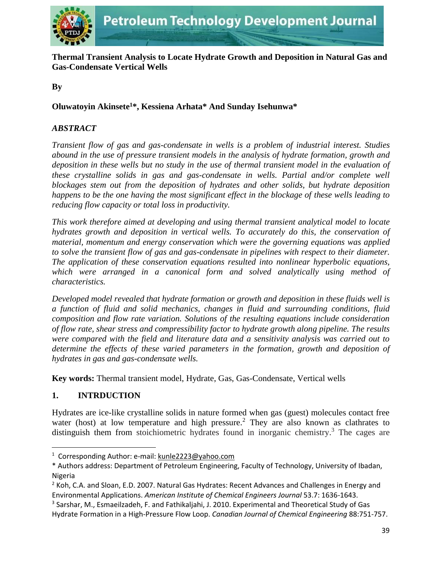

**Thermal Transient Analysis to Locate Hydrate Growth and Deposition in Natural Gas and Gas-Condensate Vertical Wells**

## **By**

## **Oluwatoyin Akinsete<sup>1</sup>\*, Kessiena Arhata\* And Sunday Isehunwa\***

## *ABSTRACT*

*Transient flow of gas and gas-condensate in wells is a problem of industrial interest. Studies abound in the use of pressure transient models in the analysis of hydrate formation, growth and deposition in these wells but no study in the use of thermal transient model in the evaluation of these crystalline solids in gas and gas-condensate in wells. Partial and/or complete well blockages stem out from the deposition of hydrates and other solids, but hydrate deposition happens to be the one having the most significant effect in the blockage of these wells leading to reducing flow capacity or total loss in productivity.* 

*This work therefore aimed at developing and using thermal transient analytical model to locate hydrates growth and deposition in vertical wells. To accurately do this, the conservation of material, momentum and energy conservation which were the governing equations was applied to solve the transient flow of gas and gas-condensate in pipelines with respect to their diameter. The application of these conservation equations resulted into nonlinear hyperbolic equations,*  which were arranged in a canonical form and solved analytically using method of *characteristics.* 

*Developed model revealed that hydrate formation or growth and deposition in these fluids well is a function of fluid and solid mechanics, changes in fluid and surrounding conditions, fluid composition and flow rate variation. Solutions of the resulting equations include consideration of flow rate, shear stress and compressibility factor to hydrate growth along pipeline. The results were compared with the field and literature data and a sensitivity analysis was carried out to*  determine the effects of these varied parameters in the formation, growth and deposition of *hydrates in gas and gas-condensate wells.*

**Key words:** Thermal transient model, Hydrate, Gas, Gas-Condensate, Vertical wells

### **1. INTRDUCTION**

 $\overline{\phantom{a}}$ 

Hydrates are ice-like crystalline solids in nature formed when gas (guest) molecules contact free water (host) at low temperature and high pressure.<sup>2</sup> They are also known as clathrates to distinguish them from stoichiometric hydrates found in inorganic chemistry.<sup>3</sup> The cages are

<sup>1</sup> Corresponding Author: e-mail: [kunle2223@yahoo.com](mailto:kunle2223@yahoo.com)

<sup>\*</sup> Authors address: Department of Petroleum Engineering, Faculty of Technology, University of Ibadan, Nigeria

 $2$  Koh, C.A. and Sloan, E.D. 2007. Natural Gas Hydrates: Recent Advances and Challenges in Energy and Environmental Applications. *American Institute of Chemical Engineers Journal* 53.7: 1636-1643.

<sup>&</sup>lt;sup>3</sup> Sarshar, M., Esmaeilzadeh, F. and Fathikaljahi, J. 2010. Experimental and Theoretical Study of Gas Hydrate Formation in a High-Pressure Flow Loop. *Canadian Journal of Chemical Engineering* 88:751-757.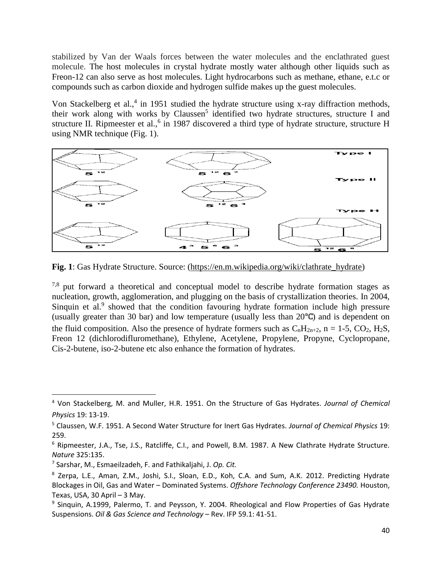stabilized by Van der Waals forces between the water molecules and the enclathrated guest molecule. The host molecules in crystal hydrate mostly water although other liquids such as Freon-12 can also serve as host molecules. Light hydrocarbons such as methane, ethane, e.t.c or compounds such as carbon dioxide and hydrogen sulfide makes up the guest molecules.

Von Stackelberg et al.,<sup>4</sup> in 1951 studied the hydrate structure using x-ray diffraction methods, their work along with works by Claussen<sup>5</sup> identified two hydrate structures, structure I and structure II. Ripmeester et al.,<sup>6</sup> in 1987 discovered a third type of hydrate structure, structure H using NMR technique (Fig. 1).



**Fig. 1**: Gas Hydrate Structure. Source: [\(https://en.m.wikipedia.org/wiki/clathrate\\_hydrate\)](https://en.m.wikipedia.org/wiki/clathrate_hydrate)

 $7.8$  put forward a theoretical and conceptual model to describe hydrate formation stages as nucleation, growth, agglomeration, and plugging on the basis of crystallization theories. In 2004, Sinquin et al.<sup>9</sup> showed that the condition favouring hydrate formation include high pressure (usually greater than 30 bar) and low temperature (usually less than  $20^{\circ}$ C) and is dependent on the fluid composition. Also the presence of hydrate formers such as  $C_nH_{2n+2}$ , n = 1-5, CO<sub>2</sub>, H<sub>2</sub>S, Freon 12 (dichlorodifluromethane), Ethylene, Acetylene, Propylene, Propyne, Cyclopropane, Cis-2-butene, iso-2-butene etc also enhance the formation of hydrates.

 $\overline{\phantom{a}}$ 

<sup>4</sup> Von Stackelberg, M. and Muller, H.R. 1951. On the Structure of Gas Hydrates. *Journal of Chemical Physics* 19: 13-19.

<sup>5</sup> Claussen, W.F. 1951. A Second Water Structure for Inert Gas Hydrates. *Journal of Chemical Physics* 19: 259.

<sup>6</sup> Ripmeester, J.A., Tse, J.S., Ratcliffe, C.I., and Powell, B.M. 1987. A New Clathrate Hydrate Structure. *Nature* 325:135.

<sup>7</sup> Sarshar, M., Esmaeilzadeh, F. and Fathikaljahi, J. *Op. Cit.*

<sup>8</sup> Zerpa, L.E., Aman, Z.M., Joshi, S.I., Sloan, E.D., Koh, C.A. and Sum, A.K. 2012. Predicting Hydrate Blockages in Oil, Gas and Water – Dominated Systems. *Offshore Technology Conference 23490.* Houston, Texas, USA, 30 April – 3 May.

<sup>&</sup>lt;sup>9</sup> Sinquin, A.1999, Palermo, T. and Peysson, Y. 2004. Rheological and Flow Properties of Gas Hydrate Suspensions. *Oil & Gas Science and Technology* – Rev. IFP 59.1: 41-51.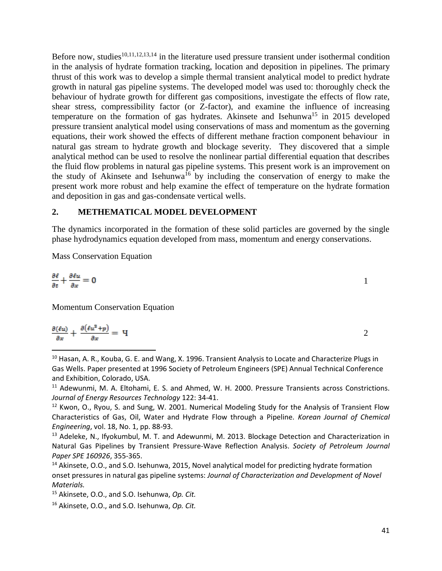Before now, studies<sup>10,11,12,13,14</sup> in the literature used pressure transient under isothermal condition in the analysis of hydrate formation tracking, location and deposition in pipelines. The primary thrust of this work was to develop a simple thermal transient analytical model to predict hydrate growth in natural gas pipeline systems. The developed model was used to: thoroughly check the behaviour of hydrate growth for different gas compositions, investigate the effects of flow rate, shear stress, compressibility factor (or Z-factor), and examine the influence of increasing temperature on the formation of gas hydrates. Akinsete and Isehunwa<sup>15</sup> in 2015 developed pressure transient analytical model using conservations of mass and momentum as the governing equations, their work showed the effects of different methane fraction component behaviour in natural gas stream to hydrate growth and blockage severity. They discovered that a simple analytical method can be used to resolve the nonlinear partial differential equation that describes the fluid flow problems in natural gas pipeline systems. This present work is an improvement on the study of Akinsete and Isehunwa<sup>16</sup> by including the conservation of energy to make the present work more robust and help examine the effect of temperature on the hydrate formation and deposition in gas and gas-condensate vertical wells.

#### **2. METHEMATICAL MODEL DEVELOPMENT**

The dynamics incorporated in the formation of these solid particles are governed by the single phase hydrodynamics equation developed from mass, momentum and energy conservations.

Mass Conservation Equation

 $\overline{\phantom{a}}$ 

$$
\frac{\partial \ell}{\partial t} + \frac{\partial \ell u}{\partial x} = 0
$$

Momentum Conservation Equation

$$
\frac{\partial(\ell u)}{\partial x} + \frac{\partial(\ell u^2 + p)}{\partial x} = \mathbf{q}
$$

<sup>10</sup> Hasan, A. R., Kouba, G. E. and Wang, X. 1996. Transient Analysis to Locate and Characterize Plugs in Gas Wells. Paper presented at 1996 Society of Petroleum Engineers (SPE) Annual Technical Conference and Exhibition, Colorado, USA.

<sup>11</sup> Adewunmi, M. A. Eltohami, E. S. and Ahmed, W. H. 2000. Pressure Transients across Constrictions. *Journal of Energy Resources Technology* 122: 34-41.

<sup>12</sup> Kwon, O., Ryou, S. and Sung, W. 2001. Numerical Modeling Study for the Analysis of Transient Flow Characteristics of Gas, Oil, Water and Hydrate Flow through a Pipeline. *Korean Journal of Chemical Engineering*, vol. 18, No. 1, pp. 88-93.

<sup>13</sup> Adeleke, N., Ifyokumbul, M. T. and Adewunmi, M. 2013. Blockage Detection and Characterization in Natural Gas Pipelines by Transient Pressure-Wave Reflection Analysis. *Society of Petroleum Journal Paper SPE 160926*, 355-365.

<sup>14</sup> Akinsete, O.O., and S.O. Isehunwa, 2015, Novel analytical model for predicting hydrate formation onset pressures in natural gas pipeline systems: *Journal of Characterization and Development of Novel Materials.*

<sup>15</sup> Akinsete, O.O., and S.O. Isehunwa, *Op. Cit.*

<sup>16</sup> Akinsete, O.O., and S.O. Isehunwa, *Op. Cit.*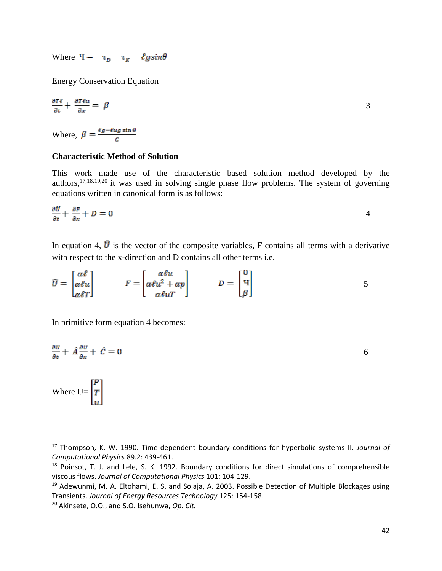Where  $\Psi = -\tau_D - \tau_R - \ell g \sin\theta$ 

Energy Conservation Equation

$$
\frac{\partial \tau \ell}{\partial t} + \frac{\partial \tau \ell u}{\partial x} = \beta \tag{3}
$$

Where,  $\beta = \frac{\ell g - \ell u g \sin \theta}{c}$ 

#### **Characteristic Method of Solution**

This work made use of the characteristic based solution method developed by the authors,  $17,18,19,20$  it was used in solving single phase flow problems. The system of governing equations written in canonical form is as follows:

$$
\frac{\partial \hat{U}}{\partial t} + \frac{\partial F}{\partial x} + D = 0
$$

In equation 4,  $\bar{U}$  is the vector of the composite variables, F contains all terms with a derivative with respect to the x-direction and D contains all other terms i.e.

$$
\widehat{U} = \begin{bmatrix} \alpha \ell \\ \alpha \ell u \\ \alpha \ell T \end{bmatrix} \qquad F = \begin{bmatrix} \alpha \ell u \\ \alpha \ell u^2 + \alpha p \\ \alpha \ell u T \end{bmatrix} \qquad D = \begin{bmatrix} 0 \\ 4 \\ \beta \end{bmatrix} \qquad 5
$$

In primitive form equation 4 becomes:

$$
\frac{\partial v}{\partial t} + \hat{A} \frac{\partial v}{\partial x} + \hat{C} = 0
$$

Where  $U = \begin{bmatrix} P \\ T \\ \vdots \end{bmatrix}$ 

 $\overline{\phantom{a}}$ 

<sup>17</sup> Thompson, K. W. 1990. Time-dependent boundary conditions for hyperbolic systems II. *Journal of Computational Physics* 89.2: 439-461.

<sup>&</sup>lt;sup>18</sup> Poinsot, T. J. and Lele, S. K. 1992. Boundary conditions for direct simulations of comprehensible viscous flows. *Journal of Computational Physics* 101: 104-129.

<sup>&</sup>lt;sup>19</sup> Adewunmi, M. A. Eltohami, E. S. and Solaja, A. 2003. Possible Detection of Multiple Blockages using Transients. *Journal of Energy Resources Technology* 125: 154-158.

<sup>20</sup> Akinsete, O.O., and S.O. Isehunwa, *Op. Cit.*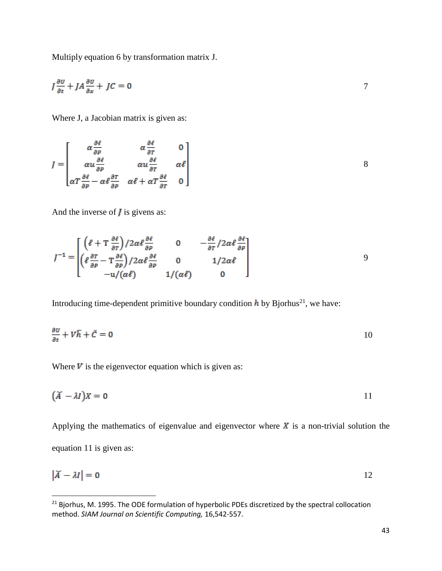Multiply equation 6 by transformation matrix J.

$$
J\frac{\partial U}{\partial t} + JA\frac{\partial U}{\partial x} + JC = 0
$$

Where J, a Jacobian matrix is given as:

$$
J = \begin{bmatrix} \alpha \frac{\partial \ell}{\partial P} & \alpha \frac{\partial \ell}{\partial T} & 0 \\ \alpha u \frac{\partial \ell}{\partial P} & \alpha u \frac{\partial \ell}{\partial T} & \alpha \ell \\ \alpha T \frac{\partial \ell}{\partial P} - \alpha \ell \frac{\partial T}{\partial P} & \alpha \ell + \alpha T \frac{\partial \ell}{\partial T} & 0 \end{bmatrix}
$$
 8

And the inverse of  $\boldsymbol{J}$  is givens as:

 $\overline{\phantom{a}}$ 

$$
J^{-1} = \begin{bmatrix} \left(\ell + \frac{\partial \ell}{\partial T}\right) / 2\alpha \ell \frac{\partial \ell}{\partial P} & 0 & -\frac{\partial \ell}{\partial T} / 2\alpha \ell \frac{\partial \ell}{\partial P} \\ \left(\ell \frac{\partial \tau}{\partial P} - \frac{\partial \ell}{\partial P}\right) / 2\alpha \ell \frac{\partial \ell}{\partial P} & 0 & 1 / 2\alpha \ell \\ -\frac{\mu}{\ell} \left(\alpha \ell \right) & 1 / (\alpha \ell) & 0 \end{bmatrix}
$$

Introducing time-dependent primitive boundary condition  $\boldsymbol{h}$  by Bjorhus<sup>21</sup>, we have:

$$
\frac{\partial v}{\partial t} + V\overline{h} + \check{C} = 0 \tag{10}
$$

Where  $V$  is the eigenvector equation which is given as:

$$
(\breve{A} - \lambda I)X = 0 \tag{11}
$$

Applying the mathematics of eigenvalue and eigenvector where  $\vec{x}$  is a non-trivial solution the equation 11 is given as:

$$
|\widetilde{A} - \lambda I| = 0
$$

 $21$  Bjorhus, M. 1995. The ODE formulation of hyperbolic PDEs discretized by the spectral collocation method. *SIAM Journal on Scientific Computing,* 16,542-557.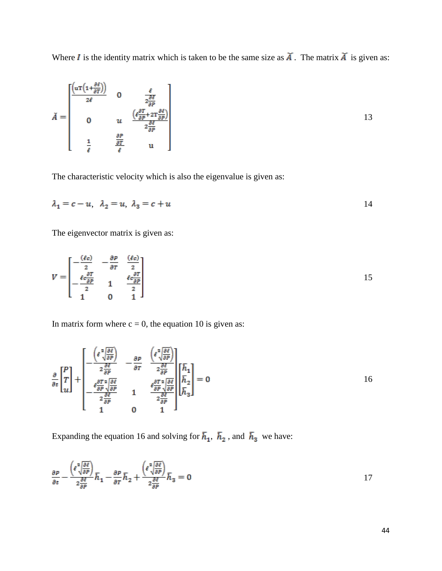Where I is the identity matrix which is taken to be the same size as  $\widetilde{A}$ . The matrix  $\widetilde{A}$  is given as:

$$
\tilde{A} = \begin{bmatrix} \frac{\left(\mathbf{u}\mathbf{T}\left(1+\frac{\partial \ell}{\partial T}\right)\right)}{2\ell} & 0 & \frac{\ell}{2\frac{\partial \ell}{\partial P}}\\ 0 & u & \frac{\left(\ell\frac{\partial T}{\partial P} + 2\mathbf{T}\frac{\partial \ell}{\partial P}\right)}{2\frac{\partial \ell}{\partial P}}\\ \frac{1}{\ell} & \frac{\frac{\partial P}{\partial T}}{\ell} & u \end{bmatrix}
$$
13

The characteristic velocity which is also the eigenvalue is given as:

$$
\lambda_1 = c - u, \quad \lambda_2 = u, \quad \lambda_3 = c + u \tag{14}
$$

The eigenvector matrix is given as:

$$
V = \begin{bmatrix} -\frac{(\ell c)}{2} & -\frac{\partial P}{\partial T} & \frac{(\ell c)}{2} \\ -\frac{\ell c \frac{\partial T}{\partial P}}{2} & 1 & \frac{\ell c \frac{\partial T}{\partial P}}{2} \\ 1 & 0 & 1 \end{bmatrix}
$$
 15

In matrix form where  $c = 0$ , the equation 10 is given as:

$$
\frac{\partial}{\partial t} \begin{bmatrix} P \\ T \\ u \end{bmatrix} + \begin{bmatrix} -\frac{\left(\ell \frac{2}{\sqrt{\partial P}}\right)}{2\frac{\partial F}{\partial P}} & -\frac{\partial P}{\partial T} & \frac{\left(\ell \frac{2}{\sqrt{\partial P}}\right)}{2\frac{\partial F}{\partial P}} \\ -\frac{\ell \frac{\partial T}{\partial P} \sqrt{\frac{\partial F}{\partial P}}}{2\frac{\partial F}{\partial P}} & 1 & \frac{\ell \frac{\partial T}{\partial P} \sqrt{\frac{\partial F}{\partial P}}}{2\frac{\partial F}{\partial P}} \\ 1 & 0 & 1 \end{bmatrix} \begin{bmatrix} \overline{h}_1 \\ \overline{h}_2 \\ \overline{h}_3 \end{bmatrix} = 0
$$

Expanding the equation 16 and solving for  $\bar{h}_1$ ,  $\bar{h}_2$ , and  $\bar{h}_3$  we have:

$$
\frac{\partial P}{\partial t} - \frac{\left(\ell \sqrt[2]{\frac{\partial \ell}{\partial P}}\right)}{2\frac{\partial \ell}{\partial P}} \overline{h}_1 - \frac{\partial P}{\partial T} \overline{h}_2 + \frac{\left(\ell^2 \sqrt[2]{\frac{\partial \ell}{\partial P}}\right)}{2\frac{\partial \ell}{\partial P}} \overline{h}_3 = 0
$$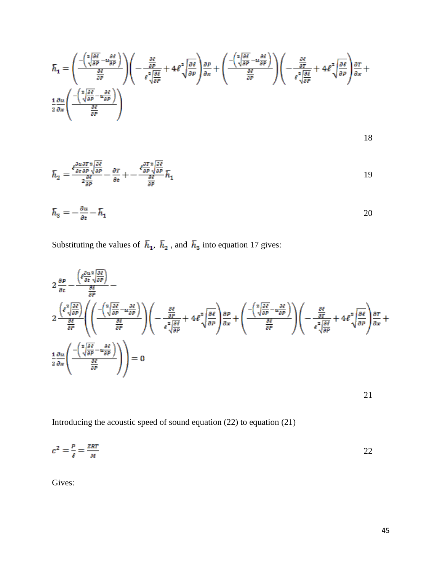$$
\bar{h}_1 = \left(\frac{-\left(\sqrt[2]{\frac{\partial \ell}{\partial P}} - u \frac{\partial \ell}{\partial P}\right)}{\frac{\partial \ell}{\partial P}}\right) \left(-\frac{\frac{\partial \ell}{\partial P}}{\ell \sqrt[2]{\frac{\partial \ell}{\partial P}}} + 4\ell^2 \sqrt{\frac{\partial \ell}{\partial P}}\right) \frac{\partial P}{\partial x} + \left(\frac{-\left(\sqrt[2]{\frac{\partial \ell}{\partial P}} - u \frac{\partial \ell}{\partial P}\right)}{\frac{\partial \ell}{\partial P}}\right) \left(-\frac{\frac{\partial \ell}{\partial T}}{\ell \sqrt[2]{\frac{\partial \ell}{\partial P}}} + 4\ell^2 \sqrt{\frac{\partial \ell}{\partial P}}\right) \frac{\partial T}{\partial x} + \frac{1}{2} \frac{\partial \ell^2}{\partial P} \left(-\frac{\ell^2 \sqrt[2]{\frac{\partial \ell}{\partial P}} - u \frac{\partial \ell}{\partial P}}{\frac{\partial \ell}{\partial P}}\right) \frac{\partial T}{\partial x} + \frac{1}{2} \frac{\partial \ell^2}{\partial P} \left(-\frac{\ell^2 \sqrt[2]{\frac{\partial \ell}{\partial P}} - u \frac{\partial \ell}{\partial P}}{\frac{\partial \ell}{\partial P}}\right)
$$

$$
\bar{h}_2 = \frac{\ell \frac{\partial u \partial T}{\partial t} \frac{\partial \ell}{\partial P}}{2 \frac{\partial \ell}{\partial P}} - \frac{\partial T}{\partial t} + \frac{\ell \frac{\partial T}{\partial P} \frac{\partial \ell}{\partial P}}{2 \frac{\partial \ell}{\partial P}} \bar{h}_1
$$
\n(19)

$$
\bar{h}_3 = -\frac{\partial u}{\partial t} - \bar{h}_1 \tag{20}
$$

Substituting the values of  $\bar{h}_1$ ,  $\bar{h}_2$ , and  $\bar{h}_3$  into equation 17 gives:

$$
2 \frac{\partial P}{\partial t} - \frac{\left(\ell \frac{\partial u}{\partial t} \frac{\partial \ell}{\partial P}\right)}{\frac{\partial \ell}{\partial P}} -
$$
\n
$$
2 \frac{\left(\ell \frac{\partial \ell \partial \ell}{\partial P} \frac{\partial \ell}{\partial P}\right)}{\frac{\partial \ell \partial P}{\partial P}} \left(\left(\frac{-\left(\frac{2}{\sqrt{\frac{\partial \ell}{\partial P}} - u \frac{\partial \ell}{\partial P}}\right)}{\frac{\partial \ell}{\partial P}}\right) \left(-\frac{\frac{\partial \ell}{\partial P}}{\ell \sqrt{\frac{\partial \ell}{\partial P}}} + 4\ell^2 \sqrt{\frac{\partial \ell}{\partial P}}\right) \frac{\partial P}{\partial x} + \left(\frac{-\left(\frac{2}{\sqrt{\frac{\partial \ell}{\partial P}} - u \frac{\partial \ell}{\partial P}}\right)}{\frac{\partial \ell}{\partial P}}\right) \left(-\frac{\frac{\partial \ell}{\partial T}}{\ell^2 \sqrt{\frac{\partial \ell}{\partial P}}} + 4\ell^2 \sqrt{\frac{\partial \ell}{\partial P}}\right) \frac{\partial T}{\partial x} +
$$
\n
$$
\frac{1}{2} \frac{\partial u}{\partial x} \left(\frac{-\left(\frac{2}{\sqrt{\frac{\partial \ell}{\partial P}} - u \frac{\partial \ell}{\partial P}}\right)}{\frac{\partial \ell}{\partial P}}\right) = 0
$$

Introducing the acoustic speed of sound equation (22) to equation (21)

$$
c^2 = \frac{P}{\ell} = \frac{ZRT}{M}
$$

Gives: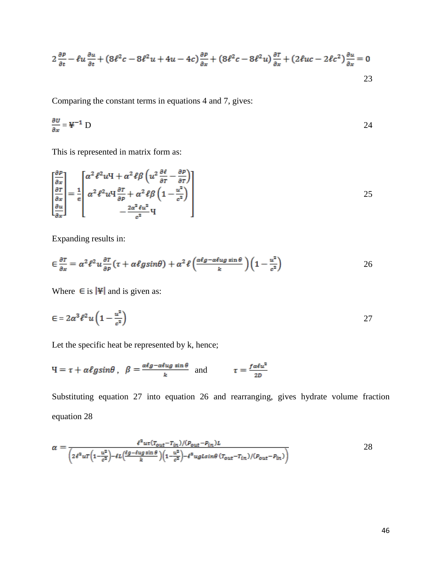$$
2\frac{\partial P}{\partial t} - \ell u \frac{\partial u}{\partial t} + (8\ell^2 c - 8\ell^2 u + 4u - 4c) \frac{\partial P}{\partial x} + (8\ell^2 c - 8\ell^2 u) \frac{\partial T}{\partial x} + (2\ell u c - 2\ell c^2) \frac{\partial u}{\partial x} = 0
$$
\n
$$
23
$$

Comparing the constant terms in equations 4 and 7, gives:

$$
\frac{\partial v}{\partial x} = \mathbf{F}^{-1} \mathbf{D} \tag{24}
$$

This is represented in matrix form as:

$$
\begin{bmatrix}\n\frac{\partial P}{\partial x} \\
\frac{\partial T}{\partial x} \\
\frac{\partial u}{\partial x}\n\end{bmatrix} = \frac{1}{\epsilon} \begin{bmatrix}\n\alpha^2 \ell^2 u \mathbf{H} + \alpha^2 \ell \beta \left( u^2 \frac{\partial \ell}{\partial \tau} - \frac{\partial P}{\partial \tau} \right) \\
\alpha^2 \ell^2 u \mathbf{H} \frac{\partial T}{\partial \rho} + \alpha^2 \ell \beta \left( 1 - \frac{u^2}{c^2} \right) \\
-\frac{2\alpha^2 \ell u^2}{c^2} \mathbf{H}\n\end{bmatrix}
$$
\n(25)

Expanding results in:

$$
\epsilon \frac{\partial \tau}{\partial x} = \alpha^2 \ell^2 u \frac{\partial \tau}{\partial p} (\tau + \alpha \ell g \sin \theta) + \alpha^2 \ell \left( \frac{\alpha \ell g - \alpha \ell u g \sin \theta}{k} \right) \left( 1 - \frac{u^2}{c^2} \right) \tag{26}
$$

Where  $\in$  is |\\pi | and is given as:

$$
\epsilon = 2\alpha^3 \ell^2 u \left(1 - \frac{u^2}{c^2}\right) \tag{27}
$$

Let the specific heat be represented by k, hence;

$$
H = \tau + \alpha \ell g \sin \theta \ , \ \ \beta = \frac{\alpha \ell g - \alpha \ell u g \sin \theta}{k} \ \text{ and } \ \tau = \frac{f \alpha \ell u^2}{2D}
$$

Substituting equation 27 into equation 26 and rearranging, gives hydrate volume fraction equation 28

$$
\alpha = \frac{\ell^2 u \tau (r_{out} - r_{in})/(p_{out} - p_{in}) \ell}{\left(2\ell^2 u \tau \left(1 - \frac{u^2}{c^2}\right) - \ell L \left(\frac{\ell g - \ell u g \sin \theta}{k}\right) \left(1 - \frac{u^2}{c^2}\right) - \ell^3 u g L \sin \theta \left(r_{out} - r_{in}\right)/(p_{out} - p_{in})\right)}
$$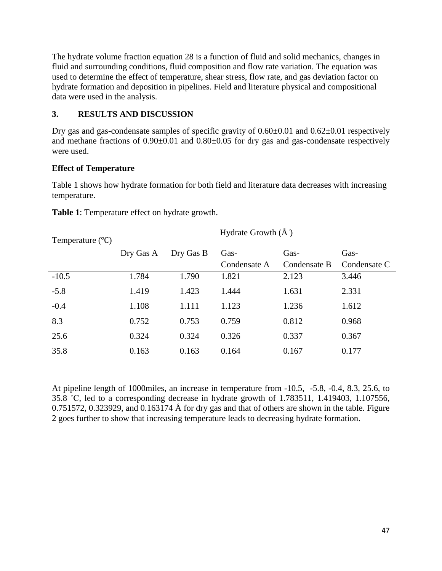The hydrate volume fraction equation 28 is a function of fluid and solid mechanics, changes in fluid and surrounding conditions, fluid composition and flow rate variation. The equation was used to determine the effect of temperature, shear stress, flow rate, and gas deviation factor on hydrate formation and deposition in pipelines. Field and literature physical and compositional data were used in the analysis.

## **3. RESULTS AND DISCUSSION**

Dry gas and gas-condensate samples of specific gravity of  $0.60\pm0.01$  and  $0.62\pm0.01$  respectively and methane fractions of  $0.90\pm0.01$  and  $0.80\pm0.05$  for dry gas and gas-condensate respectively were used.

### **Effect of Temperature**

Table 1 shows how hydrate formation for both field and literature data decreases with increasing temperature.

| Temperature $(^{\circ}C)$ | Hydrate Growth $(\AA)$ |           |              |              |              |
|---------------------------|------------------------|-----------|--------------|--------------|--------------|
|                           | Dry Gas A              | Dry Gas B | Gas-         | Gas-         | Gas-         |
|                           |                        |           | Condensate A | Condensate B | Condensate C |
| $-10.5$                   | 1.784                  | 1.790     | 1.821        | 2.123        | 3.446        |
| $-5.8$                    | 1.419                  | 1.423     | 1.444        | 1.631        | 2.331        |
| $-0.4$                    | 1.108                  | 1.111     | 1.123        | 1.236        | 1.612        |
| 8.3                       | 0.752                  | 0.753     | 0.759        | 0.812        | 0.968        |
| 25.6                      | 0.324                  | 0.324     | 0.326        | 0.337        | 0.367        |
| 35.8                      | 0.163                  | 0.163     | 0.164        | 0.167        | 0.177        |

| Table 1: Temperature effect on hydrate growth. |  |
|------------------------------------------------|--|
|------------------------------------------------|--|

At pipeline length of 1000miles, an increase in temperature from -10.5, -5.8, -0.4, 8.3, 25.6, to 35.8 ˚C, led to a corresponding decrease in hydrate growth of 1.783511, 1.419403, 1.107556, 0.751572, 0.323929, and 0.163174  $\AA$  for dry gas and that of others are shown in the table. Figure 2 goes further to show that increasing temperature leads to decreasing hydrate formation.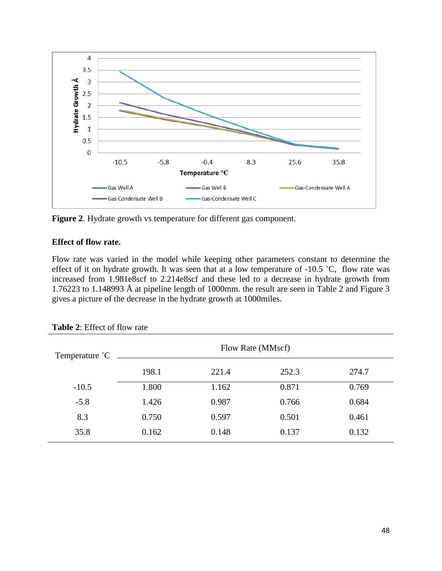

**Figure 2**. Hydrate growth vs temperature for different gas component.

### **Effect of flow rate.**

Flow rate was varied in the model while keeping other parameters constant to determine the effect of it on hydrate growth. It was seen that at a low temperature of -10.5 ˚C, flow rate was increased from 1.981e8scf to 2.214e8scf and these led to a decrease in hydrate growth from 1.76223 to 1.148993 Å at pipeline length of 1000mm. the result are seen in Table 2 and Figure 3 gives a picture of the decrease in the hydrate growth at 1000miles.

| Temperature °C |       | Flow Rate (MMscf) |       |       |  |
|----------------|-------|-------------------|-------|-------|--|
|                | 198.1 | 221.4             | 252.3 | 274.7 |  |
| $-10.5$        | 1.800 | 1.162             | 0.871 | 0.769 |  |
| $-5.8$         | 1.426 | 0.987             | 0.766 | 0.684 |  |
| 8.3            | 0.750 | 0.597             | 0.501 | 0.461 |  |
| 35.8           | 0.162 | 0.148             | 0.137 | 0.132 |  |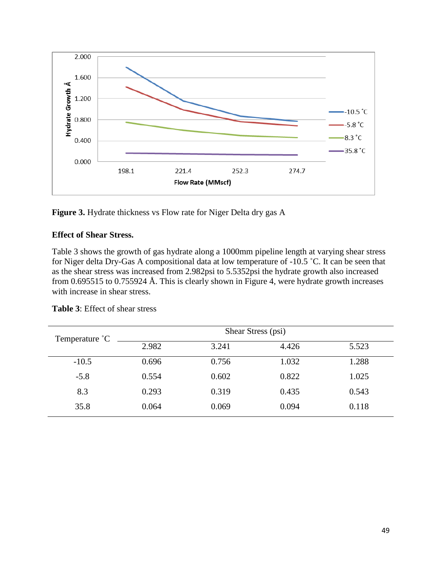

**Figure 3.** Hydrate thickness vs Flow rate for Niger Delta dry gas A

### **Effect of Shear Stress.**

Table 3 shows the growth of gas hydrate along a 1000mm pipeline length at varying shear stress for Niger delta Dry-Gas A compositional data at low temperature of -10.5 ˚C. It can be seen that as the shear stress was increased from 2.982psi to 5.5352psi the hydrate growth also increased from 0.695515 to 0.755924 Å. This is clearly shown in Figure 4, were hydrate growth increases with increase in shear stress.

| Temperature °C |       | Shear Stress (psi) |       |       |  |
|----------------|-------|--------------------|-------|-------|--|
|                | 2.982 | 3.241              | 4.426 | 5.523 |  |
| $-10.5$        | 0.696 | 0.756              | 1.032 | 1.288 |  |
| $-5.8$         | 0.554 | 0.602              | 0.822 | 1.025 |  |
| 8.3            | 0.293 | 0.319              | 0.435 | 0.543 |  |
| 35.8           | 0.064 | 0.069              | 0.094 | 0.118 |  |

| <b>Table 3:</b> Effect of shear stress |  |  |  |
|----------------------------------------|--|--|--|
|----------------------------------------|--|--|--|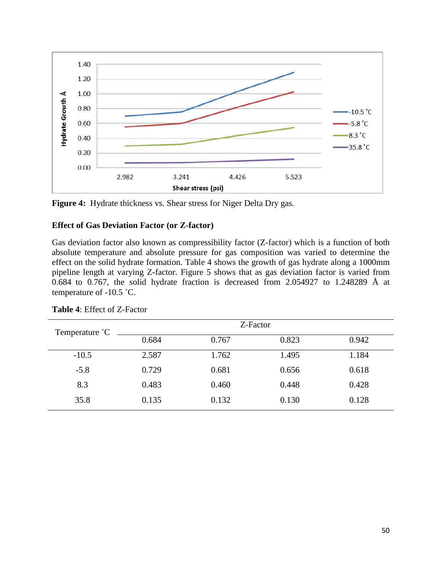



#### **Effect of Gas Deviation Factor (or Z-factor)**

Gas deviation factor also known as compressibility factor (Z-factor) which is a function of both absolute temperature and absolute pressure for gas composition was varied to determine the effect on the solid hydrate formation. Table 4 shows the growth of gas hydrate along a 1000mm pipeline length at varying Z-factor. Figure 5 shows that as gas deviation factor is varied from 0.684 to 0.767, the solid hydrate fraction is decreased from 2.054927 to 1.248289 Å at temperature of -10.5 ˚C.

| Temperature °C |       | Z-Factor |       |       |
|----------------|-------|----------|-------|-------|
|                | 0.684 | 0.767    | 0.823 | 0.942 |
| $-10.5$        | 2.587 | 1.762    | 1.495 | 1.184 |
| $-5.8$         | 0.729 | 0.681    | 0.656 | 0.618 |
| 8.3            | 0.483 | 0.460    | 0.448 | 0.428 |
| 35.8           | 0.135 | 0.132    | 0.130 | 0.128 |

#### **Table 4**: Effect of Z-Factor